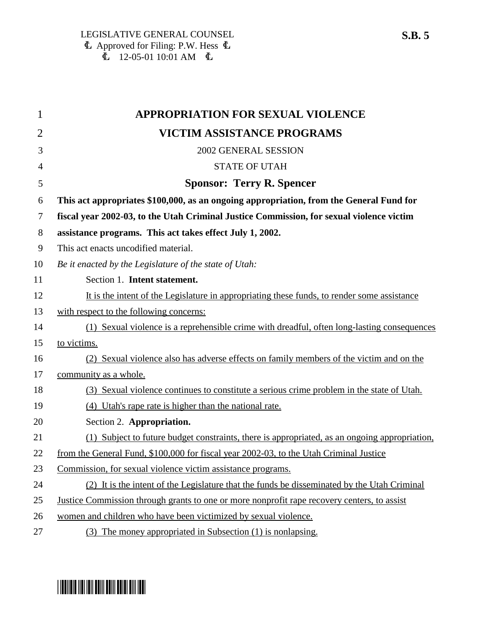| 1              | <b>APPROPRIATION FOR SEXUAL VIOLENCE</b>                                                           |
|----------------|----------------------------------------------------------------------------------------------------|
| $\overline{2}$ | <b>VICTIM ASSISTANCE PROGRAMS</b>                                                                  |
| 3              | 2002 GENERAL SESSION                                                                               |
| 4              | <b>STATE OF UTAH</b>                                                                               |
| 5              | <b>Sponsor: Terry R. Spencer</b>                                                                   |
| 6              | This act appropriates \$100,000, as an ongoing appropriation, from the General Fund for            |
| 7              | fiscal year 2002-03, to the Utah Criminal Justice Commission, for sexual violence victim           |
| 8              | assistance programs. This act takes effect July 1, 2002.                                           |
| 9              | This act enacts uncodified material.                                                               |
| 10             | Be it enacted by the Legislature of the state of Utah:                                             |
| 11             | Section 1. Intent statement.                                                                       |
| 12             | It is the intent of the Legislature in appropriating these funds, to render some assistance        |
| 13             | with respect to the following concerns:                                                            |
| 14             | (1) Sexual violence is a reprehensible crime with dreadful, often long-lasting consequences        |
| 15             | to victims.                                                                                        |
| 16             | (2) Sexual violence also has adverse effects on family members of the victim and on the            |
| 17             | community as a whole.                                                                              |
| 18             | (3) Sexual violence continues to constitute a serious crime problem in the state of Utah.          |
| 19             | (4) Utah's rape rate is higher than the national rate.                                             |
| 20             | Section 2. Appropriation.                                                                          |
| 21             | (1) Subject to future budget constraints, there is appropriated, as an ongoing appropriation,      |
| 22             | from the General Fund, \$100,000 for fiscal year 2002-03, to the Utah Criminal Justice             |
| 23             | Commission, for sexual violence victim assistance programs.                                        |
| 24             | (2) It is the intent of the Legislature that the funds be disseminated by the Utah Criminal        |
| 25             | <u>Justice Commission through grants to one or more nonprofit rape recovery centers, to assist</u> |
| 26             | women and children who have been victimized by sexual violence.                                    |
| 27             | (3) The money appropriated in Subsection (1) is nonlapsing.                                        |

## \* SB0005 \* SB000 FOR THE FILM AND THE SB000 FOR THE SB000 FOR THE SB000 FOR THE SB000 FOR THE SB000 FOR THE SB